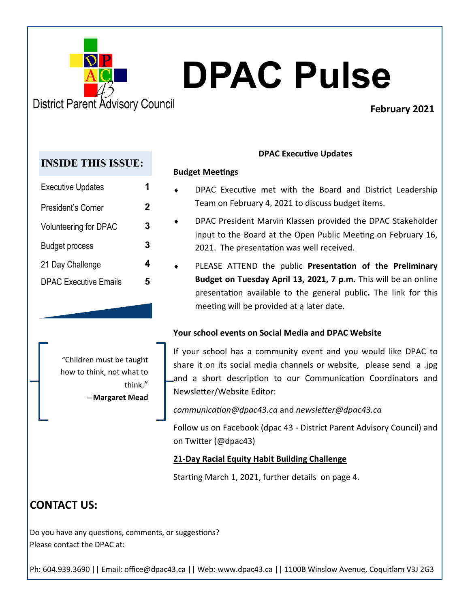

# **DPAC Pulse**

## **February 2021**

## **INSIDE THIS ISSUE:**

| <b>Executive Updates</b>     |   |
|------------------------------|---|
| President's Corner           | 2 |
| Volunteering for DPAC        | 3 |
| <b>Budget process</b>        | 3 |
| 21 Day Challenge             |   |
| <b>DPAC Executive Emails</b> |   |

#### **DPAC Executive Updates**

#### **Budget Meetings**

- DPAC Executive met with the Board and District Leadership Team on February 4, 2021 to discuss budget items.
- DPAC President Marvin Klassen provided the DPAC Stakeholder input to the Board at the Open Public Meeting on February 16, 2021. The presentation was well received.
- PLEASE ATTEND the public **Presentation of the Preliminary Budget on Tuesday April 13, 2021, 7 p.m.** This will be an online presentation available to the general public**.** The link for this meeting will be provided at a later date.

#### **Your school events on Social Media and DPAC Website**

"Children must be taught how to think, not what to think." ―**Margaret Mead**  If your school has a community event and you would like DPAC to share it on its social media channels or website, please send a .jpg and a short description to our Communication Coordinators and Newsletter/Website Editor:

*communication@dpac43.ca* and *newsletter@dpac43.ca*

Follow us on Facebook (dpac 43 - District Parent Advisory Council) and on Twitter (@dpac43)

### **21-Day Racial Equity Habit Building Challenge**

Starting March 1, 2021, further details on page 4.

## **CONTACT US:**

Do you have any questions, comments, or suggestions? Please contact the DPAC at:

Ph: 604.939.3690 || Email: office@dpac43.ca || Web: www.dpac43.ca || 1100B Winslow Avenue, Coquitlam V3J 2G3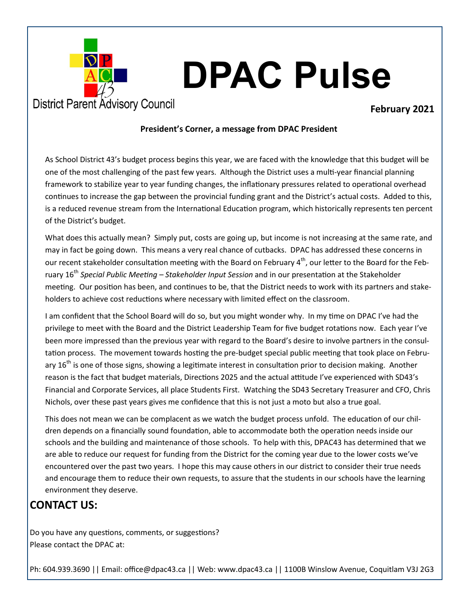

# **DPAC Pulse**

#### **February 2021**

#### **President's Corner, a message from DPAC President**

As School District 43's budget process begins this year, we are faced with the knowledge that this budget will be one of the most challenging of the past few years. Although the District uses a multi-year financial planning framework to stabilize year to year funding changes, the inflationary pressures related to operational overhead continues to increase the gap between the provincial funding grant and the District's actual costs. Added to this, is a reduced revenue stream from the International Education program, which historically represents ten percent of the District's budget.

What does this actually mean? Simply put, costs are going up, but income is not increasing at the same rate, and may in fact be going down. This means a very real chance of cutbacks. DPAC has addressed these concerns in our recent stakeholder consultation meeting with the Board on February  $4^{th}$ , our letter to the Board for the February 16th *Special Public Meeting – Stakeholder Input Session* and in our presentation at the Stakeholder meeting. Our position has been, and continues to be, that the District needs to work with its partners and stakeholders to achieve cost reductions where necessary with limited effect on the classroom.

I am confident that the School Board will do so, but you might wonder why. In my time on DPAC I've had the privilege to meet with the Board and the District Leadership Team for five budget rotations now. Each year I've been more impressed than the previous year with regard to the Board's desire to involve partners in the consultation process. The movement towards hosting the pre-budget special public meeting that took place on February  $16^{th}$  is one of those signs, showing a legitimate interest in consultation prior to decision making. Another reason is the fact that budget materials, Directions 2025 and the actual attitude I've experienced with SD43's Financial and Corporate Services, all place Students First. Watching the SD43 Secretary Treasurer and CFO, Chris Nichols, over these past years gives me confidence that this is not just a moto but also a true goal.

This does not mean we can be complacent as we watch the budget process unfold. The education of our children depends on a financially sound foundation, able to accommodate both the operation needs inside our schools and the building and maintenance of those schools. To help with this, DPAC43 has determined that we are able to reduce our request for funding from the District for the coming year due to the lower costs we've encountered over the past two years. I hope this may cause others in our district to consider their true needs and encourage them to reduce their own requests, to assure that the students in our schools have the learning environment they deserve.

## **CONTACT US:**

Do you have any questions, comments, or suggestions? Please contact the DPAC at:

Ph: 604.939.3690 || Email: office@dpac43.ca || Web: www.dpac43.ca || 1100B Winslow Avenue, Coquitlam V3J 2G3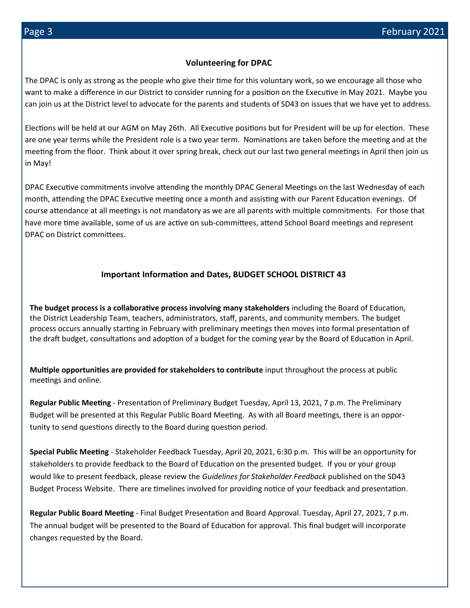#### **Volunteering for DPAC**

The DPAC is only as strong as the people who give their time for this voluntary work, so we encourage all those who want to make a difference in our District to consider running for a position on the Executive in May 2021. Maybe you can join us at the District level to advocate for the parents and students of SD43 on issues that we have yet to address.

Elections will be held at our AGM on May 26th. All Executive positions but for President will be up for election. These are one year terms while the President role is a two year term. Nominations are taken before the meeting and at the meeting from the floor. Think about it over spring break, check out our last two general meetings in April then join us in May!

DPAC Executive commitments involve attending the monthly DPAC General Meetings on the last Wednesday of each month, attending the DPAC Executive meeting once a month and assisting with our Parent Education evenings. Of course attendance at all meetings is not mandatory as we are all parents with multiple commitments. For those that have more time available, some of us are active on sub-committees, attend School Board meetings and represent DPAC on District committees.

#### **Important Information and Dates, BUDGET SCHOOL DISTRICT 43**

**The budget process is a collaborative process involving many stakeholders** including the Board of Education, the District Leadership Team, teachers, administrators, staff, parents, and community members. The budget process occurs annually starting in February with preliminary meetings then moves into formal presentation of the draft budget, consultations and adoption of a budget for the coming year by the Board of Education in April.

**Multiple opportunities are provided for stakeholders to contribute** input throughout the process at public meetings and online.

**Regular Public Meeting** - Presentation of Preliminary Budget Tuesday, April 13, 2021, 7 p.m. The Preliminary Budget will be presented at this Regular Public Board Meeting. As with all Board meetings, there is an opportunity to send questions directly to the Board during question period.

**Special Public Meeting** - Stakeholder Feedback Tuesday, April 20, 2021, 6:30 p.m. This will be an opportunity for stakeholders to provide feedback to the Board of Education on the presented budget. If you or your group would like to present feedback, please review the *Guidelines for Stakeholder Feedback* published on the SD43 Budget Process Website. There are timelines involved for providing notice of your feedback and presentation.

**Regular Public Board Meeting** - Final Budget Presentation and Board Approval. Tuesday, April 27, 2021, 7 p.m. The annual budget will be presented to the Board of Education for approval. This final budget will incorporate changes requested by the Board.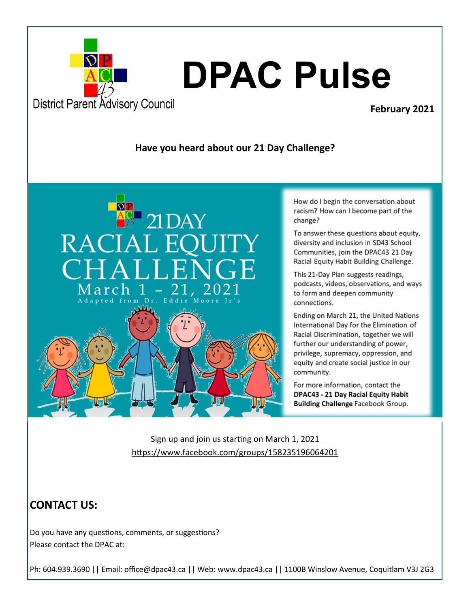

### **February 2021**

#### **Have you heard about our 21 Day Challenge?**



How do I begin the conversation about racism? How can I become part of the change?

To answer these questions about equity, diversity and inclusion in SD43 School Communities, join the DPAC43 21 Day Racial Equity Habit Building Challenge.

This 21-Day Plan suggests readings, podcasts, videos, observations, and ways to form and deepen community connections.

Ending on March 21, the United Nations International Day for the Elimination of Racial Discrimination, together we will further our understanding of power, privilege, supremacy, oppression, and equity and create social justice in our community.

For more information, contact the DPAC43 - 21 Day Racial Equity Habit **Building Challenge Facebook Group.** 

Sign up and join us starting on March 1, 2021 <https://www.facebook.com/groups/158235196064201>

## **CONTACT US:**

Do you have any questions, comments, or suggestions? Please contact the DPAC at:

Ph: 604.939.3690 || Email: office@dpac43.ca || Web: www.dpac43.ca || 1100B Winslow Avenue, Coquitlam V3J 2G3